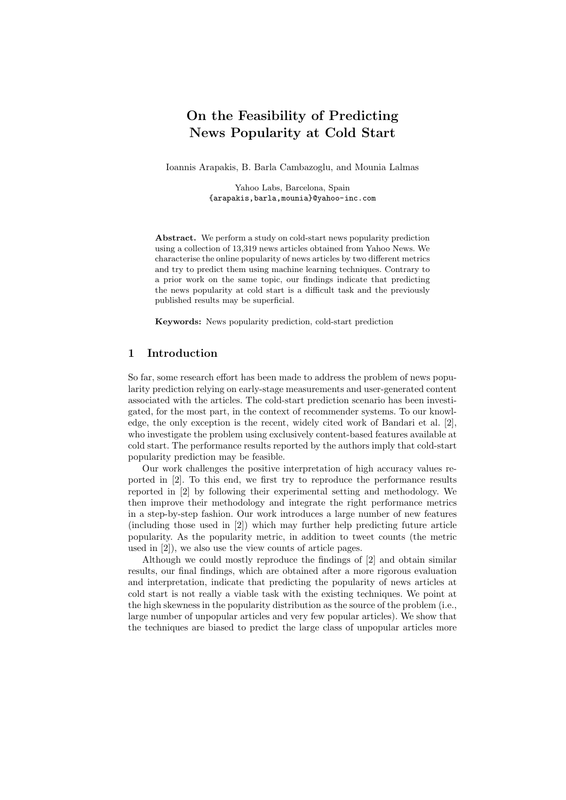# On the Feasibility of Predicting News Popularity at Cold Start

Ioannis Arapakis, B. Barla Cambazoglu, and Mounia Lalmas

Yahoo Labs, Barcelona, Spain {arapakis,barla,mounia}@yahoo-inc.com

Abstract. We perform a study on cold-start news popularity prediction using a collection of 13,319 news articles obtained from Yahoo News. We characterise the online popularity of news articles by two different metrics and try to predict them using machine learning techniques. Contrary to a prior work on the same topic, our findings indicate that predicting the news popularity at cold start is a difficult task and the previously published results may be superficial.

Keywords: News popularity prediction, cold-start prediction

# 1 Introduction

So far, some research effort has been made to address the problem of news popularity prediction relying on early-stage measurements and user-generated content associated with the articles. The cold-start prediction scenario has been investigated, for the most part, in the context of recommender systems. To our knowledge, the only exception is the recent, widely cited work of Bandari et al. [2], who investigate the problem using exclusively content-based features available at cold start. The performance results reported by the authors imply that cold-start popularity prediction may be feasible.

Our work challenges the positive interpretation of high accuracy values reported in [2]. To this end, we first try to reproduce the performance results reported in [2] by following their experimental setting and methodology. We then improve their methodology and integrate the right performance metrics in a step-by-step fashion. Our work introduces a large number of new features (including those used in [2]) which may further help predicting future article popularity. As the popularity metric, in addition to tweet counts (the metric used in [2]), we also use the view counts of article pages.

Although we could mostly reproduce the findings of [2] and obtain similar results, our final findings, which are obtained after a more rigorous evaluation and interpretation, indicate that predicting the popularity of news articles at cold start is not really a viable task with the existing techniques. We point at the high skewness in the popularity distribution as the source of the problem (i.e., large number of unpopular articles and very few popular articles). We show that the techniques are biased to predict the large class of unpopular articles more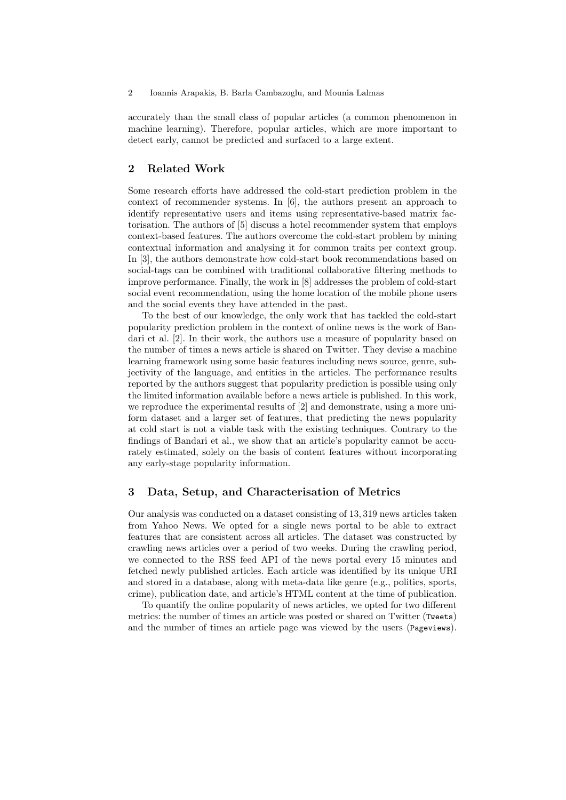2 Ioannis Arapakis, B. Barla Cambazoglu, and Mounia Lalmas

accurately than the small class of popular articles (a common phenomenon in machine learning). Therefore, popular articles, which are more important to detect early, cannot be predicted and surfaced to a large extent.

# 2 Related Work

Some research efforts have addressed the cold-start prediction problem in the context of recommender systems. In [6], the authors present an approach to identify representative users and items using representative-based matrix factorisation. The authors of [5] discuss a hotel recommender system that employs context-based features. The authors overcome the cold-start problem by mining contextual information and analysing it for common traits per context group. In [3], the authors demonstrate how cold-start book recommendations based on social-tags can be combined with traditional collaborative filtering methods to improve performance. Finally, the work in [8] addresses the problem of cold-start social event recommendation, using the home location of the mobile phone users and the social events they have attended in the past.

To the best of our knowledge, the only work that has tackled the cold-start popularity prediction problem in the context of online news is the work of Bandari et al. [2]. In their work, the authors use a measure of popularity based on the number of times a news article is shared on Twitter. They devise a machine learning framework using some basic features including news source, genre, subjectivity of the language, and entities in the articles. The performance results reported by the authors suggest that popularity prediction is possible using only the limited information available before a news article is published. In this work, we reproduce the experimental results of [2] and demonstrate, using a more uniform dataset and a larger set of features, that predicting the news popularity at cold start is not a viable task with the existing techniques. Contrary to the findings of Bandari et al., we show that an article's popularity cannot be accurately estimated, solely on the basis of content features without incorporating any early-stage popularity information.

## 3 Data, Setup, and Characterisation of Metrics

Our analysis was conducted on a dataset consisting of 13, 319 news articles taken from Yahoo News. We opted for a single news portal to be able to extract features that are consistent across all articles. The dataset was constructed by crawling news articles over a period of two weeks. During the crawling period, we connected to the RSS feed API of the news portal every 15 minutes and fetched newly published articles. Each article was identified by its unique URI and stored in a database, along with meta-data like genre (e.g., politics, sports, crime), publication date, and article's HTML content at the time of publication.

To quantify the online popularity of news articles, we opted for two different metrics: the number of times an article was posted or shared on Twitter (Tweets) and the number of times an article page was viewed by the users (Pageviews).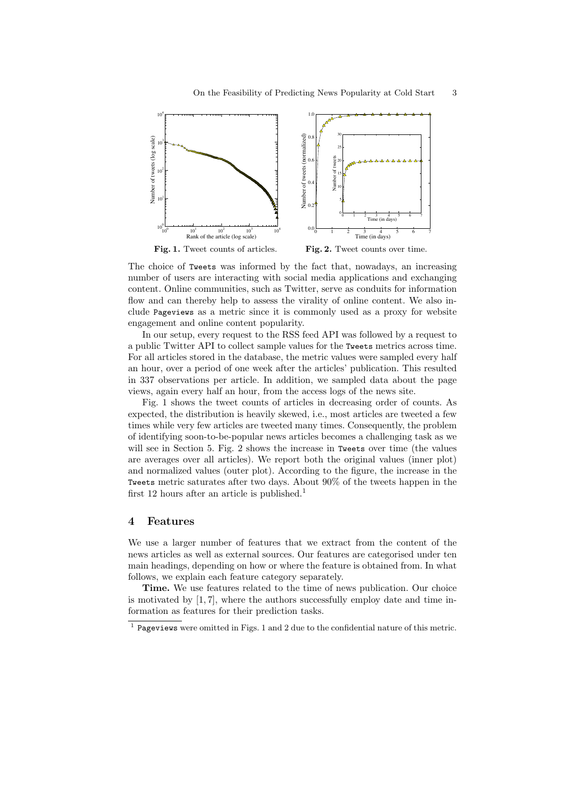

The choice of Tweets was informed by the fact that, nowadays, an increasing number of users are interacting with social media applications and exchanging content. Online communities, such as Twitter, serve as conduits for information flow and can thereby help to assess the virality of online content. We also include Pageviews as a metric since it is commonly used as a proxy for website engagement and online content popularity.

In our setup, every request to the RSS feed API was followed by a request to a public Twitter API to collect sample values for the Tweets metrics across time. For all articles stored in the database, the metric values were sampled every half an hour, over a period of one week after the articles' publication. This resulted in 337 observations per article. In addition, we sampled data about the page views, again every half an hour, from the access logs of the news site.

Fig. 1 shows the tweet counts of articles in decreasing order of counts. As expected, the distribution is heavily skewed, i.e., most articles are tweeted a few times while very few articles are tweeted many times. Consequently, the problem of identifying soon-to-be-popular news articles becomes a challenging task as we will see in Section 5. Fig. 2 shows the increase in Tweets over time (the values are averages over all articles). We report both the original values (inner plot) and normalized values (outer plot). According to the figure, the increase in the Tweets metric saturates after two days. About 90% of the tweets happen in the first 12 hours after an article is published.<sup>1</sup>

#### 4 Features

We use a larger number of features that we extract from the content of the news articles as well as external sources. Our features are categorised under ten main headings, depending on how or where the feature is obtained from. In what follows, we explain each feature category separately.

Time. We use features related to the time of news publication. Our choice is motivated by  $[1, 7]$ , where the authors successfully employ date and time information as features for their prediction tasks.

<sup>&</sup>lt;sup>1</sup> Pageviews were omitted in Figs. 1 and 2 due to the confidential nature of this metric.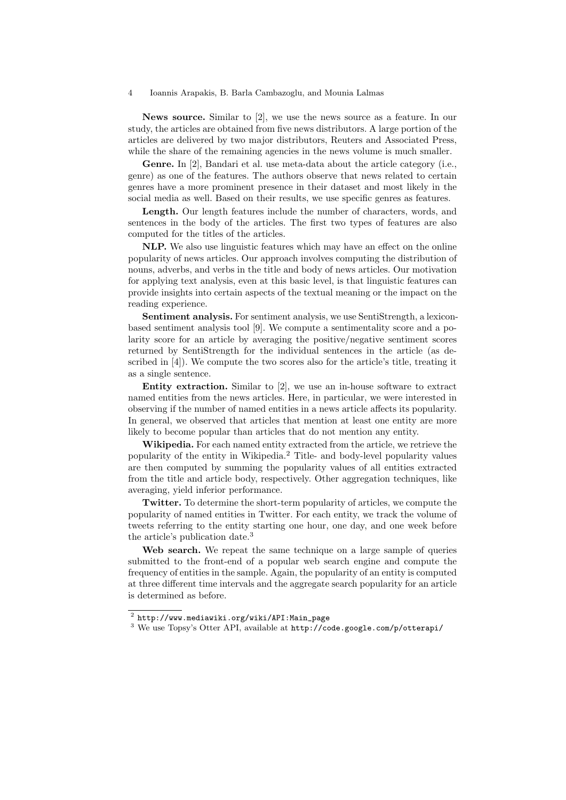#### 4 Ioannis Arapakis, B. Barla Cambazoglu, and Mounia Lalmas

News source. Similar to [2], we use the news source as a feature. In our study, the articles are obtained from five news distributors. A large portion of the articles are delivered by two major distributors, Reuters and Associated Press, while the share of the remaining agencies in the news volume is much smaller.

Genre. In [2], Bandari et al. use meta-data about the article category (i.e., genre) as one of the features. The authors observe that news related to certain genres have a more prominent presence in their dataset and most likely in the social media as well. Based on their results, we use specific genres as features.

Length. Our length features include the number of characters, words, and sentences in the body of the articles. The first two types of features are also computed for the titles of the articles.

NLP. We also use linguistic features which may have an effect on the online popularity of news articles. Our approach involves computing the distribution of nouns, adverbs, and verbs in the title and body of news articles. Our motivation for applying text analysis, even at this basic level, is that linguistic features can provide insights into certain aspects of the textual meaning or the impact on the reading experience.

Sentiment analysis. For sentiment analysis, we use SentiStrength, a lexiconbased sentiment analysis tool [9]. We compute a sentimentality score and a polarity score for an article by averaging the positive/negative sentiment scores returned by SentiStrength for the individual sentences in the article (as described in [4]). We compute the two scores also for the article's title, treating it as a single sentence.

Entity extraction. Similar to [2], we use an in-house software to extract named entities from the news articles. Here, in particular, we were interested in observing if the number of named entities in a news article affects its popularity. In general, we observed that articles that mention at least one entity are more likely to become popular than articles that do not mention any entity.

Wikipedia. For each named entity extracted from the article, we retrieve the popularity of the entity in Wikipedia.<sup>2</sup> Title- and body-level popularity values are then computed by summing the popularity values of all entities extracted from the title and article body, respectively. Other aggregation techniques, like averaging, yield inferior performance.

Twitter. To determine the short-term popularity of articles, we compute the popularity of named entities in Twitter. For each entity, we track the volume of tweets referring to the entity starting one hour, one day, and one week before the article's publication date.<sup>3</sup>

Web search. We repeat the same technique on a large sample of queries submitted to the front-end of a popular web search engine and compute the frequency of entities in the sample. Again, the popularity of an entity is computed at three different time intervals and the aggregate search popularity for an article is determined as before.

 $^2$  http://www.mediawiki.org/wiki/API:Main\_page

<sup>3</sup> We use Topsy's Otter API, available at http://code.google.com/p/otterapi/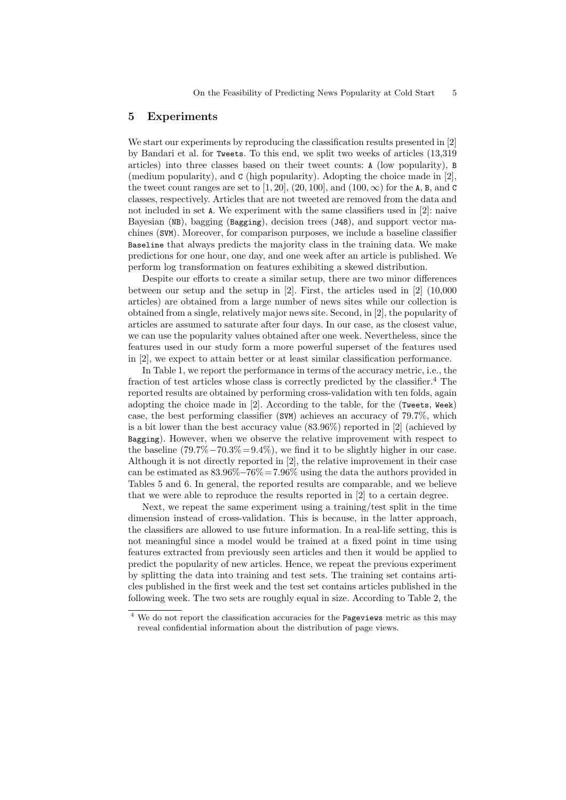### 5 Experiments

We start our experiments by reproducing the classification results presented in [2] by Bandari et al. for Tweets. To this end, we split two weeks of articles (13,319 articles) into three classes based on their tweet counts: A (low popularity), B (medium popularity), and C (high popularity). Adopting the choice made in [2], the tweet count ranges are set to [1, 20], (20, 100], and (100,  $\infty$ ) for the A, B, and C classes, respectively. Articles that are not tweeted are removed from the data and not included in set A. We experiment with the same classifiers used in [2]: naive Bayesian (NB), bagging (Bagging), decision trees (J48), and support vector machines (SVM). Moreover, for comparison purposes, we include a baseline classifier Baseline that always predicts the majority class in the training data. We make predictions for one hour, one day, and one week after an article is published. We perform log transformation on features exhibiting a skewed distribution.

Despite our efforts to create a similar setup, there are two minor differences between our setup and the setup in [2]. First, the articles used in [2] (10,000 articles) are obtained from a large number of news sites while our collection is obtained from a single, relatively major news site. Second, in [2], the popularity of articles are assumed to saturate after four days. In our case, as the closest value, we can use the popularity values obtained after one week. Nevertheless, since the features used in our study form a more powerful superset of the features used in [2], we expect to attain better or at least similar classification performance.

In Table 1, we report the performance in terms of the accuracy metric, i.e., the fraction of test articles whose class is correctly predicted by the classifier.<sup>4</sup> The reported results are obtained by performing cross-validation with ten folds, again adopting the choice made in [2]. According to the table, for the (Tweets, Week) case, the best performing classifier (SVM) achieves an accuracy of 79.7%, which is a bit lower than the best accuracy value (83.96%) reported in [2] (achieved by Bagging). However, when we observe the relative improvement with respect to the baseline  $(79.7\% - 70.3\% = 9.4\%)$ , we find it to be slightly higher in our case. Although it is not directly reported in [2], the relative improvement in their case can be estimated as 83.96%−76%= 7.96% using the data the authors provided in Tables 5 and 6. In general, the reported results are comparable, and we believe that we were able to reproduce the results reported in [2] to a certain degree.

Next, we repeat the same experiment using a training/test split in the time dimension instead of cross-validation. This is because, in the latter approach, the classifiers are allowed to use future information. In a real-life setting, this is not meaningful since a model would be trained at a fixed point in time using features extracted from previously seen articles and then it would be applied to predict the popularity of new articles. Hence, we repeat the previous experiment by splitting the data into training and test sets. The training set contains articles published in the first week and the test set contains articles published in the following week. The two sets are roughly equal in size. According to Table 2, the

<sup>4</sup> We do not report the classification accuracies for the Pageviews metric as this may reveal confidential information about the distribution of page views.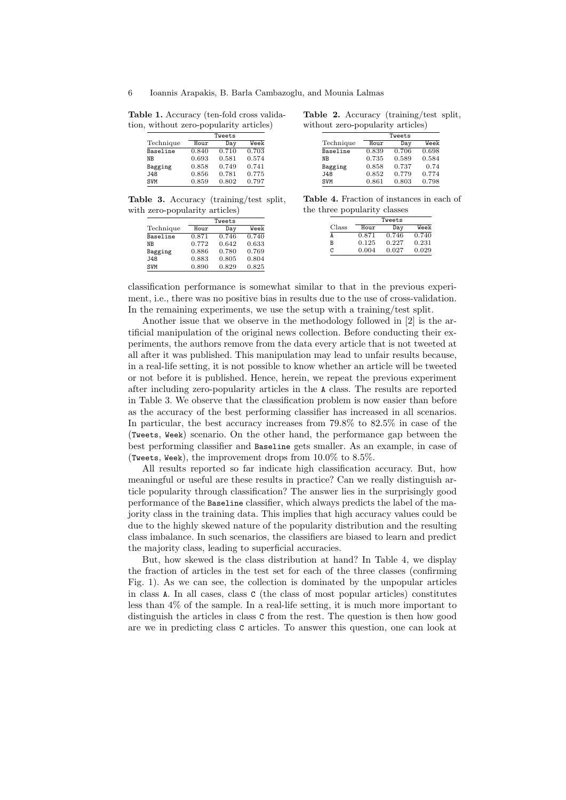Table 1. Accuracy (ten-fold cross validation, without zero-popularity articles)

|            | Tweets |       |       |  |  |
|------------|--------|-------|-------|--|--|
| Technique  | Hour   | Day   | Week  |  |  |
| Baseline   | 0.840  | 0.710 | 0.703 |  |  |
| NB         | 0.693  | 0.581 | 0.574 |  |  |
| Bagging    | 0.858  | 0.749 | 0.741 |  |  |
| J48        | 0.856  | 0.781 | 0.775 |  |  |
| <b>SVM</b> | 0.859  | 0.802 | 0.797 |  |  |

Table 3. Accuracy (training/test split, with zero-popularity articles)

|           | Tweets |       |       |  |  |
|-----------|--------|-------|-------|--|--|
| Technique | Hour   | Day   | Week  |  |  |
| Baseline  | 0.871  | 0.746 | 0.740 |  |  |
| NB        | 0.772  | 0.642 | 0.633 |  |  |
| Bagging   | 0.886  | 0.780 | 0.769 |  |  |
| J48       | 0.883  | 0.805 | 0.804 |  |  |
| SVM       | 0.890  | 0.829 | 0.825 |  |  |

Table 2. Accuracy (training/test split, without zero-popularity articles)

|            |       | Tweets |       |  |  |  |
|------------|-------|--------|-------|--|--|--|
| Technique  | Hour  | Day    | Week  |  |  |  |
| Baseline   | 0.839 | 0.706  | 0.698 |  |  |  |
| <b>NB</b>  | 0.735 | 0.589  | 0.584 |  |  |  |
| Bagging    | 0.858 | 0.737  | 0.74  |  |  |  |
| J48        | 0.852 | 0.779  | 0.774 |  |  |  |
| <b>SVM</b> | 0.861 | 0.803  | 0.798 |  |  |  |

Table 4. Fraction of instances in each of the three popularity classes

|       |       | Tweets |       |  |  |  |
|-------|-------|--------|-------|--|--|--|
| Class | Hour  | Day    | Week  |  |  |  |
| A     | 0.871 | 0.746  | 0.740 |  |  |  |
| B     | 0.125 | 0.227  | 0.231 |  |  |  |
| C     | 0.004 | 0.027  | 0.029 |  |  |  |

classification performance is somewhat similar to that in the previous experiment, i.e., there was no positive bias in results due to the use of cross-validation. In the remaining experiments, we use the setup with a training/test split.

Another issue that we observe in the methodology followed in [2] is the artificial manipulation of the original news collection. Before conducting their experiments, the authors remove from the data every article that is not tweeted at all after it was published. This manipulation may lead to unfair results because, in a real-life setting, it is not possible to know whether an article will be tweeted or not before it is published. Hence, herein, we repeat the previous experiment after including zero-popularity articles in the A class. The results are reported in Table 3. We observe that the classification problem is now easier than before as the accuracy of the best performing classifier has increased in all scenarios. In particular, the best accuracy increases from 79.8% to 82.5% in case of the (Tweets, Week) scenario. On the other hand, the performance gap between the best performing classifier and Baseline gets smaller. As an example, in case of (Tweets, Week), the improvement drops from  $10.0\%$  to  $8.5\%$ .

All results reported so far indicate high classification accuracy. But, how meaningful or useful are these results in practice? Can we really distinguish article popularity through classification? The answer lies in the surprisingly good performance of the Baseline classifier, which always predicts the label of the majority class in the training data. This implies that high accuracy values could be due to the highly skewed nature of the popularity distribution and the resulting class imbalance. In such scenarios, the classifiers are biased to learn and predict the majority class, leading to superficial accuracies.

But, how skewed is the class distribution at hand? In Table 4, we display the fraction of articles in the test set for each of the three classes (confirming Fig. 1). As we can see, the collection is dominated by the unpopular articles in class A. In all cases, class C (the class of most popular articles) constitutes less than 4% of the sample. In a real-life setting, it is much more important to distinguish the articles in class C from the rest. The question is then how good are we in predicting class C articles. To answer this question, one can look at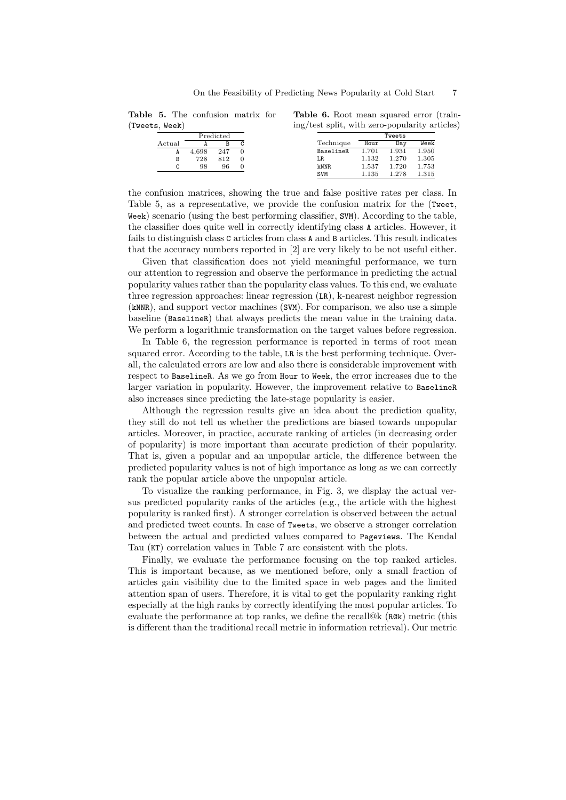Table 5. The confusion matrix for (Tweets, Week)

 $Actual$ 

|  | Table 6. Root mean squared error (train-       |  |
|--|------------------------------------------------|--|
|  | ing/test split, with zero-popularity articles) |  |

|   |       | Predicted |            | Tweets |       |  |
|---|-------|-----------|------------|--------|-------|--|
|   |       | R         | Technique  | Hour   | Dav   |  |
| A | 4.698 | 247       | BaselineR  | 1.701  | 1.931 |  |
| B | 728   | 812       | LR         | 1.132  | 1.270 |  |
| C | 98    | 96        | kNNR       | 1.537  | 1.720 |  |
|   |       |           | <b>SVM</b> | 1.135  | 1.278 |  |

the confusion matrices, showing the true and false positive rates per class. In Table 5, as a representative, we provide the confusion matrix for the (Tweet, Week) scenario (using the best performing classifier, SVM). According to the table, the classifier does quite well in correctly identifying class A articles. However, it fails to distinguish class C articles from class A and B articles. This result indicates that the accuracy numbers reported in [2] are very likely to be not useful either.

Given that classification does not yield meaningful performance, we turn our attention to regression and observe the performance in predicting the actual popularity values rather than the popularity class values. To this end, we evaluate three regression approaches: linear regression (LR), k-nearest neighbor regression (kNNR), and support vector machines (SVM). For comparison, we also use a simple baseline (BaselineR) that always predicts the mean value in the training data. We perform a logarithmic transformation on the target values before regression.

In Table 6, the regression performance is reported in terms of root mean squared error. According to the table, LR is the best performing technique. Overall, the calculated errors are low and also there is considerable improvement with respect to BaselineR. As we go from Hour to Week, the error increases due to the larger variation in popularity. However, the improvement relative to BaselineR also increases since predicting the late-stage popularity is easier.

Although the regression results give an idea about the prediction quality, they still do not tell us whether the predictions are biased towards unpopular articles. Moreover, in practice, accurate ranking of articles (in decreasing order of popularity) is more important than accurate prediction of their popularity. That is, given a popular and an unpopular article, the difference between the predicted popularity values is not of high importance as long as we can correctly rank the popular article above the unpopular article.

To visualize the ranking performance, in Fig. 3, we display the actual versus predicted popularity ranks of the articles (e.g., the article with the highest popularity is ranked first). A stronger correlation is observed between the actual and predicted tweet counts. In case of Tweets, we observe a stronger correlation between the actual and predicted values compared to Pageviews. The Kendal Tau (KT) correlation values in Table 7 are consistent with the plots.

Finally, we evaluate the performance focusing on the top ranked articles. This is important because, as we mentioned before, only a small fraction of articles gain visibility due to the limited space in web pages and the limited attention span of users. Therefore, it is vital to get the popularity ranking right especially at the high ranks by correctly identifying the most popular articles. To evaluate the performance at top ranks, we define the recall@k (R@k) metric (this is different than the traditional recall metric in information retrieval). Our metric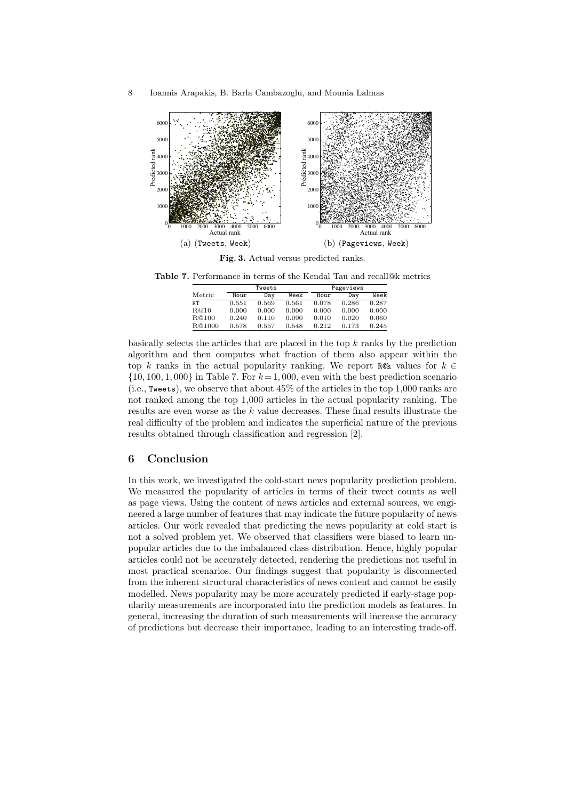8 Ioannis Arapakis, B. Barla Cambazoglu, and Mounia Lalmas



Fig. 3. Actual versus predicted ranks.

Table 7. Performance in terms of the Kendal Tau and recall@k metrics

|        |       | Tweets |       |       | Pageviews |       |  |  |
|--------|-------|--------|-------|-------|-----------|-------|--|--|
| Metric | Hour  | Dav    | Week  | Hour  | Dav       | Week  |  |  |
| КT     | 0.551 | 0.569  | 0.561 | 0.078 | 0.286     | 0.287 |  |  |
| R@10   | 0.000 | 0.000  | 0.000 | 0.000 | 0.000     | 0.000 |  |  |
| R@100  | 0.240 | 0.110  | 0.090 | 0.010 | 0.020     | 0.060 |  |  |
| R@1000 | 0.578 | 0.557  | 0.548 | 0.212 | 0.173     | 0.245 |  |  |

basically selects the articles that are placed in the top  $k$  ranks by the prediction algorithm and then computes what fraction of them also appear within the top k ranks in the actual popularity ranking. We report ROK values for  $k \in$  $\{10, 100, 1, 000\}$  in Table 7. For  $k = 1, 000$ , even with the best prediction scenario (i.e., Tweets), we observe that about 45% of the articles in the top 1,000 ranks are not ranked among the top 1,000 articles in the actual popularity ranking. The results are even worse as the  $k$  value decreases. These final results illustrate the real difficulty of the problem and indicates the superficial nature of the previous results obtained through classification and regression [2].

# 6 Conclusion

In this work, we investigated the cold-start news popularity prediction problem. We measured the popularity of articles in terms of their tweet counts as well as page views. Using the content of news articles and external sources, we engineered a large number of features that may indicate the future popularity of news articles. Our work revealed that predicting the news popularity at cold start is not a solved problem yet. We observed that classifiers were biased to learn unpopular articles due to the imbalanced class distribution. Hence, highly popular articles could not be accurately detected, rendering the predictions not useful in most practical scenarios. Our findings suggest that popularity is disconnected from the inherent structural characteristics of news content and cannot be easily modelled. News popularity may be more accurately predicted if early-stage popularity measurements are incorporated into the prediction models as features. In general, increasing the duration of such measurements will increase the accuracy of predictions but decrease their importance, leading to an interesting trade-off.